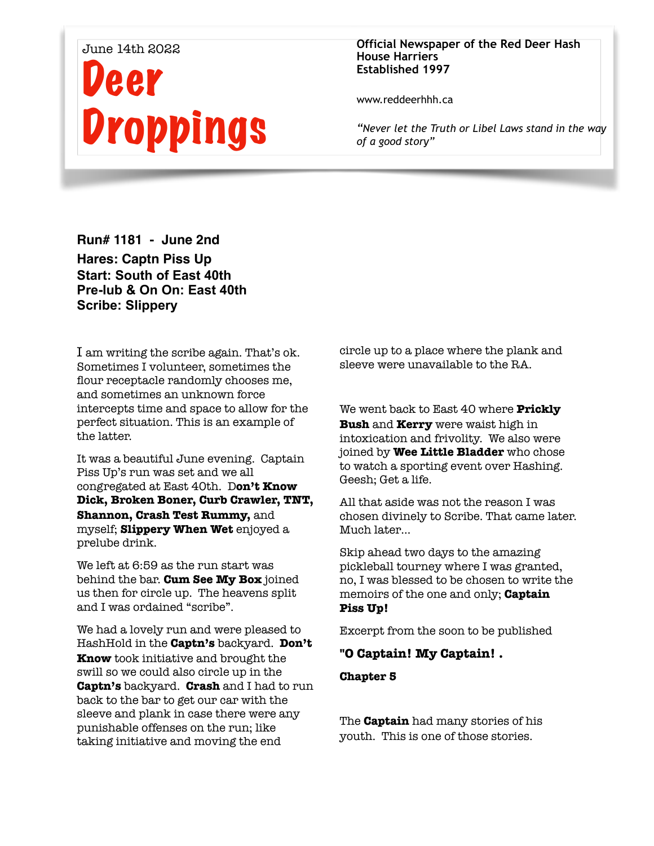# June 14th 2022 Deer Droppings

#### **Official Newspaper of the Red Deer Hash House Harriers Established 1997**

www.reddeerhhh.ca

*"Never let the Truth or Libel Laws stand in the way of a good story"*

**Run# 1181 - June 2nd Hares: Captn Piss Up Start: South of East 40th Pre-lub & On On: East 40th Scribe: Slippery** 

I am writing the scribe again. That's ok. Sometimes I volunteer, sometimes the flour receptacle randomly chooses me, and sometimes an unknown force intercepts time and space to allow for the perfect situation. This is an example of the latter.

It was a beautiful June evening. Captain Piss Up's run was set and we all congregated at East 40th. D**on't Know Dick, Broken Boner, Curb Crawler, TNT, Shannon, Crash Test Rummy,** and myself; **Slippery When Wet** enjoyed a prelube drink.

We left at 6:59 as the run start was behind the bar. **Cum See My Box** joined us then for circle up. The heavens split and I was ordained "scribe".

We had a lovely run and were pleased to HashHold in the **Captn's** backyard. **Don't Know** took initiative and brought the swill so we could also circle up in the **Captn's** backyard. **Crash** and I had to run back to the bar to get our car with the sleeve and plank in case there were any punishable offenses on the run; like taking initiative and moving the end

circle up to a place where the plank and sleeve were unavailable to the RA.

We went back to East 40 where **Prickly Bush** and **Kerry** were waist high in intoxication and frivolity. We also were joined by **Wee Little Bladder** who chose to watch a sporting event over Hashing. Geesh; Get a life.

All that aside was not the reason I was chosen divinely to Scribe. That came later. Much later…

Skip ahead two days to the amazing pickleball tourney where I was granted, no, I was blessed to be chosen to write the memoirs of the one and only; **Captain Piss Up!** 

Excerpt from the soon to be published

## **"O Captain! My Captain! .**

**Chapter 5** 

The **Captain** had many stories of his youth. This is one of those stories.